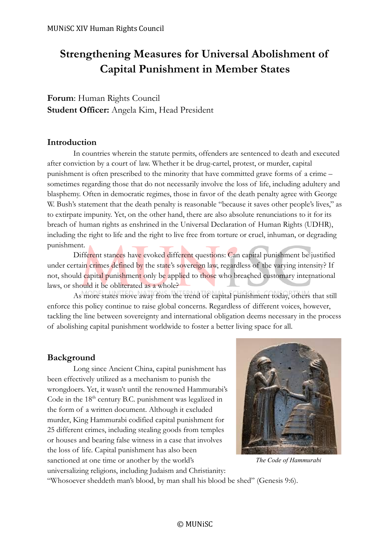# **Strengthening Measures for Universal Abolishment of Capital Punishment in Member States**

**Forum**: Human Rights Council **Student Officer:** Angela Kim, Head President

### **Introduction**

In countries wherein the statute permits, offenders are sentenced to death and executed after conviction by a court of law. Whether it be drug-cartel, protest, or murder, capital punishment is often prescribed to the minority that have committed grave forms of a crime – sometimes regarding those that do not necessarily involve the loss of life, including adultery and blasphemy. Often in democratic regimes, those in favor of the death penalty agree with George W. Bush's statement that the death penalty is reasonable "because it saves other people's lives," as to extirpate impunity. Yet, on the other hand, there are also absolute renunciations to it for its breach of human rights as enshrined in the Universal Declaration of Human Rights (UDHR), including the right to life and the right to live free from torture or cruel, inhuman, or degrading punishment.

Different stances have evoked different questions: Can capital punishment be justified under certain crimes defined by the state's sovereign law, regardless of the varying intensity? If not, should capital punishment only be applied to those who breached customary international laws, or should it be obliterated as a whole?

As more states move away from the trend of capital punishment today, others that still enforce this policy continue to raise global concerns. Regardless of different voices, however, tackling the line between sovereignty and international obligation deems necessary in the process of abolishing capital punishment worldwide to foster a better living space for all.

### **Background**

Long since Ancient China, capital punishment has been effectively utilized as a mechanism to punish the wrongdoers. Yet, it wasn't until the renowned Hammurabi's Code in the  $18<sup>th</sup>$  century B.C. punishment was legalized in the form of a written document. Although it excluded murder, King Hammurabi codified capital punishment for 25 different crimes, including stealing goods from temples or houses and bearing false witness in a case that involves the loss of life. Capital punishment has also been sanctioned at one time or another by the world's



*The Code of Hammurabi*

universalizing religions, including Judaism and Christianity:

"Whosoever sheddeth man's blood, by man shall his blood be shed" (Genesis 9:6).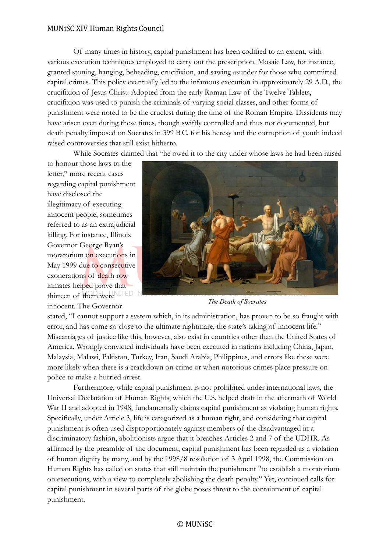Of many times in history, capital punishment has been codified to an extent, with various execution techniques employed to carry out the prescription. Mosaic Law, for instance, granted stoning, hanging, beheading, crucifixion, and sawing asunder for those who committed capital crimes. This policy eventually led to the infamous execution in approximately 29 A.D., the crucifixion of Jesus Christ. Adopted from the early Roman Law of the Twelve Tablets, crucifixion was used to punish the criminals of varying social classes, and other forms of punishment were noted to be the cruelest during the time of the Roman Empire. Dissidents may have arisen even during these times, though swiftly controlled and thus not documented, but death penalty imposed on Socrates in 399 B.C. for his heresy and the corruption of youth indeed raised controversies that still exist hitherto.

While Socrates claimed that "he owed it to the city under whose laws he had been raised

to honour those laws to the letter," more recent cases regarding capital punishment have disclosed the illegitimacy of executing innocent people, sometimes referred to as an extrajudicial killing. For instance, Illinois Governor George Ryan's moratorium on executions in May 1999 due to consecutive exonerations of death row inmates helped prove that thirteen of them were innocent. The Governor



*The Death of Socrates*

stated, "I cannot support a system which, in its administration, has proven to be so fraught with error, and has come so close to the ultimate nightmare, the state's taking of innocent life." Miscarriages of justice like this, however, also exist in countries other than the United States of America. Wrongly convicted individuals have been executed in nations including China, Japan, Malaysia, Malawi, Pakistan, Turkey, Iran, Saudi Arabia, Philippines, and errors like these were more likely when there is a crackdown on crime or when notorious crimes place pressure on police to make a hurried arrest.

Furthermore, while capital punishment is not prohibited under international laws, the Universal Declaration of Human Rights, which the U.S. helped draft in the aftermath of World War II and adopted in 1948, fundamentally claims capital punishment as violating human rights. Specifically, under Article 3, life is categorized as a human right, and considering that capital punishment is often used disproportionately against members of the disadvantaged in a discriminatory fashion, abolitionists argue that it breaches Articles 2 and 7 of the UDHR. As affirmed by the preamble of the document, capital punishment has been regarded as a violation of human dignity by many, and by the 1998/8 resolution of 3 April 1998, the Commission on Human Rights has called on states that still maintain the punishment "to establish a moratorium on executions, with a view to completely abolishing the death penalty." Yet, continued calls for capital punishment in several parts of the globe poses threat to the containment of capital punishment.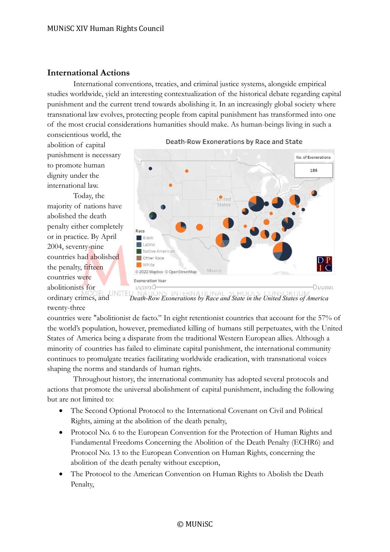### **International Actions**

International conventions, treaties, and criminal justice systems, alongside empirical studies worldwide, yield an interesting contextualization of the historical debate regarding capital punishment and the current trend towards abolishing it. In an increasingly global society where transnational law evolves, protecting people from capital punishment has transformed into one of the most crucial considerations humanities should make. As human-beings living in such a conscientious world, the

abolition of capital punishment is necessary to promote human dignity under the international law.

Today, the majority of nations have abolished the death penalty either completely or in practice. By April 2004, seventy-nine countries had abolished the penalty, fifteen countries were abolitionists for



Death-Row Exonerations by Race and State

MODEL UNITE<br>ordinary crimes, and  $N_{\Delta}$ INTERNATI *Death-Row Exonerations by Race and State in the United States of America*twenty-three

countries were "abolitionist de facto." In eight retentionist countries that account for the 57% of the world's population, however, premediated killing of humans still perpetuates, with the United States of America being a disparate from the traditional Western European allies. Although a minority of countries has failed to eliminate capital punishment, the international community continues to promulgate treaties facilitating worldwide eradication, with transnational voices shaping the norms and standards of human rights.

Throughout history, the international community has adopted several protocols and actions that promote the universal abolishment of capital punishment, including the following but are not limited to:

- The Second Optional Protocol to the International Covenant on Civil and Political Rights, aiming at the abolition of the death penalty,
- Protocol No. 6 to the European Convention for the Protection of Human Rights and Fundamental Freedoms Concerning the Abolition of the Death Penalty (ECHR6) and Protocol No. 13 to the European Convention on Human Rights, concerning the abolition of the death penalty without exception,
- The Protocol to the American Convention on Human Rights to Abolish the Death Penalty,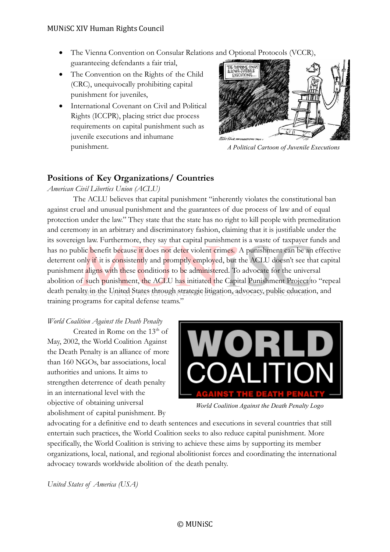- The Vienna Convention on Consular Relations and Optional Protocols (VCCR), guaranteeing defendants a fair trial,
- The Convention on the Rights of the Child (CRC), unequivocally prohibiting capital punishment for juveniles,
- International Covenant on Civil and Political Rights (ICCPR), placing strict due process requirements on capital punishment such as juvenile executions and inhumane punishment.



*A Political Cartoon of Juvenile Executions*

## **Positions of Key Organizations/ Countries**

*American Civil Liberties Union (ACLU)*

The ACLU believes that capital punishment "inherently violates the constitutional ban against cruel and unusual punishment and the guarantees of due process of law and of equal protection under the law." They state that the state has no right to kill people with premeditation and ceremony in an arbitrary and discriminatory fashion, claiming that it is justifiable under the its sovereign law. Furthermore, they say that capital punishment is a waste of taxpayer funds and has no public benefit because it does not deter violent crimes. A punishment can be an effective deterrent only if it is consistently and promptly employed, but the ACLU doesn't see that capital punishment aligns with these conditions to be administered. To advocate for the universal abolition of such punishment, the ACLU has initiated the Capital Punishment Project to "repeal death penalty in the United States through strategic litigation, advocacy, public education, and training programs for capital defense teams."

#### *World Coalition Against the Death Penalty*

Created in Rome on the  $13<sup>th</sup>$  of May, 2002, the World Coalition Against the Death Penalty is an alliance of more than 160 NGOs, bar associations, local authorities and unions. It aims to strengthen deterrence of death penalty in an international level with the objective of obtaining universal abolishment of capital punishment. By



*World Coalition Against the Death Penalty Logo*

advocating for a definitive end to death sentences and executions in several countries that still entertain such practices, the World Coalition seeks to also reduce capital punishment. More specifically, the World Coalition is striving to achieve these aims by supporting its member organizations, local, national, and regional abolitionist forces and coordinating the international advocacy towards worldwide abolition of the death penalty.

*United States of America (USA)*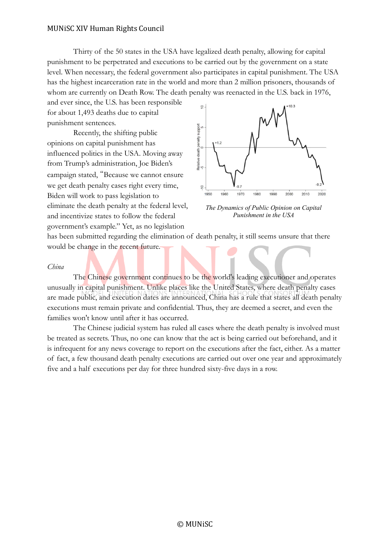Thirty of the 50 states in the USA have legalized death penalty, allowing for capital punishment to be perpetrated and executions to be carried out by the government on a state level. When necessary, the federal government also participates in capital punishment. The USA has the highest incarceration rate in the world and more than 2 million prisoners, thousands of whom are currently on Death Row. The death penalty was reenacted in the U.S. back in 1976,

and ever since, the U.S. has been responsible for about 1,493 deaths due to capital punishment sentences.

Recently, the shifting public opinions on capital punishment has influenced politics in the USA. Moving away from Trump's administration, Joe Biden's campaign stated, "Because we cannot ensure we get death penalty cases right every time, Biden will work to pass legislation to eliminate the death penalty at the federal level, and incentivize states to follow the federal government's example." Yet, as no legislation



*The Dynamics of Public Opinion on Capital Punishment in the USA*

has been submitted regarding the elimination of death penalty, it still seems unsure that there would be change in the recent future.

#### *China*

The Chinese government continues to be the world's leading executioner and operates unusually in capital punishment. Unlike places like the United States, where death penalty cases are made public, and execution dates are announced, China has a rule that states all death penalty executions must remain private and confidential. Thus, they are deemed a secret, and even the families won't know until after it has occurred.

The Chinese judicial system has ruled all cases where the death penalty is involved must be treated as secrets. Thus, no one can know that the act is being carried out beforehand, and it is infrequent for any news coverage to report on the executions after the fact, either. As a matter of fact, a few thousand death penalty executions are carried out over one year and approximately five and a half executions per day for three hundred sixty-five days in a row.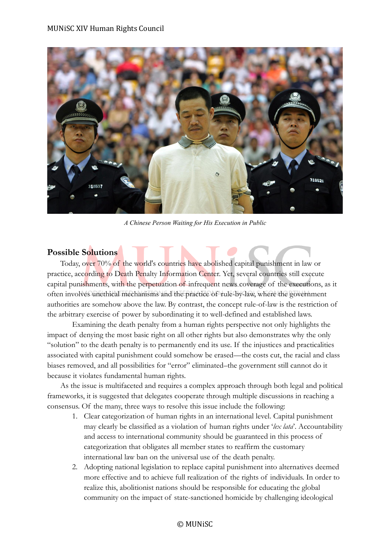

*A Chinese Person Waiting for His Execution in Public*

### **Possible Solutions**

Today, over 70% of the world's countries have abolished capital punishment in law or practice, according to Death Penalty Information Center. Yet, several countries still execute capital punishments, with the perpetuation of infrequent news coverage of the executions, as it often involves unethical mechanisms and the practice of rule-by-law, where the government authorities are somehow above the law. By contrast, the concept rule-of-law is the restriction of the arbitrary exercise of power by subordinating it to well-defined and established laws.

Examining the death penalty from a human rights perspective not only highlights the impact of denying the most basic right on all other rights but also demonstrates why the only "solution" to the death penalty is to permanently end its use. If the injustices and practicalities associated with capital punishment could somehow be erased—the costs cut, the racial and class biases removed, and all possibilities for "error" eliminated–the government still cannot do it because it violates fundamental human rights.

As the issue is multifaceted and requires a complex approach through both legal and political frameworks, it is suggested that delegates cooperate through multiple discussions in reaching a consensus. Of the many, three ways to resolve this issue include the following:

- 1. Clear categorization of human rights in an international level. Capital punishment may clearly be classified as a violation of human rights under '*lex lata*'. Accountability and access to international community should be guaranteed in this process of categorization that obligates all member states to reaffirm the customary international law ban on the universal use of the death penalty.
- 2. Adopting national legislation to replace capital punishment into alternatives deemed more effective and to achieve full realization of the rights of individuals. In order to realize this, abolitionist nations should be responsible for educating the global community on the impact of state-sanctioned homicide by challenging ideological

#### © MUNiSC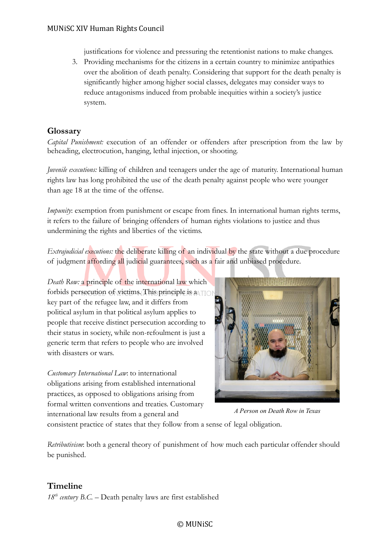justifications for violence and pressuring the retentionist nations to make changes.

3. Providing mechanisms for the citizens in a certain country to minimize antipathies over the abolition of death penalty. Considering that support for the death penalty is significantly higher among higher social classes, delegates may consider ways to reduce antagonisms induced from probable inequities within a society's justice system.

### **Glossary**

*Capital Punishment:* execution of an offender or offenders after prescription from the law by beheading, electrocution, hanging, lethal injection, or shooting.

*Juvenile executions:* killing of children and teenagers under the age of maturity. International human rights law has long prohibited the use of the death penalty against people who were younger than age 18 at the time of the offense.

*Impunity*: exemption from punishment or escape from fines. In international human rights terms, it refers to the failure of bringing offenders of human rights violations to justice and thus undermining the rights and liberties of the victims.

*Extrajudicial executions:* the deliberate killing of an individual by the state without a due procedure of judgment affording all judicial guarantees, such as a fair and unbiased procedure.

*Death Row:* a principle of the international law which forbids persecution of victims. This principle is a TIOP key part of the refugee law, and it differs from political asylum in that political asylum applies to people that receive distinct persecution according to their status in society, while non-refoulment is just a generic term that refers to people who are involved with disasters or wars.

*Customary International Law*: to international obligations arising from established international practices, as opposed to obligations arising from formal written conventions and treaties. Customary international law results from a general and



*A Person on Death Row in Texas*

consistent practice of states that they follow from a sense of legal obligation.

*Retributivism*: both a general theory of punishment of how much each particular offender should be punished.

### **Timeline**

 $18^{th}$  *century B.C.* – Death penalty laws are first established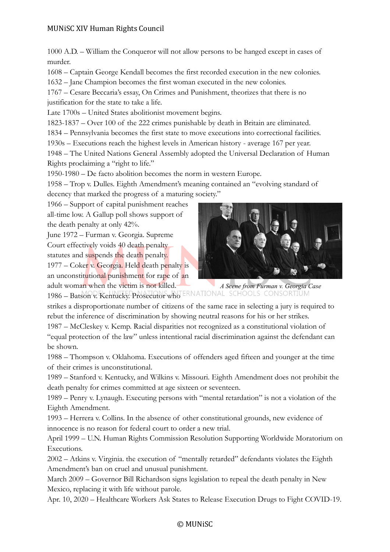1000 A.D. – William the Conqueror will not allow persons to be hanged except in cases of murder.

1608 – Captain George Kendall becomes the first recorded execution in the new colonies.

1632 – Jane Champion becomes the first woman executed in the new colonies.

1767 – Cesare Beccaria's essay, On Crimes and Punishment, theorizes that there is no justification for the state to take a life.

Late 1700s – United States abolitionist movement begins.

1823-1837 – Over 100 of the 222 crimes punishable by death in Britain are eliminated.

1834 – Pennsylvania becomes the first state to move executions into correctional facilities.

1930s – Executions reach the highest levels in American history - average 167 per year.

1948 – The United Nations General Assembly adopted the Universal Declaration of Human Rights proclaiming a "right to life."

1950-1980 – De facto abolition becomes the norm in western Europe.

1958 – Trop v. Dulles. Eighth Amendment's meaning contained an "evolving standard of decency that marked the progress of a maturing society."

1966 – Support of capital punishment reaches

all-time low. A Gallup poll shows support of the death penalty at only 42%.

June 1972 – Furman v. Georgia. Supreme Court effectively voids 40 death penalty statutes and suspends the death penalty.  $1977 - \text{Coker v. Georgia.}$  Held death penalty is an unconstitutional punishment for rape of an adult woman when the victim is not killed.



1986 – Batson v. Kentucky. Prosecutor who ERNATIONAL SCHOOLS CONSORTI *A Scene from Furman v. Georgia Case*

strikes a disproportionate number of citizens of the same race in selecting a jury is required to rebut the inference of discrimination by showing neutral reasons for his or her strikes.

1987 – McCleskey v. Kemp. Racial disparities not recognized as a constitutional violation of "equal protection of the law" unless intentional racial discrimination against the defendant can be shown.

1988 – Thompson v. Oklahoma. Executions of offenders aged fifteen and younger at the time of their crimes is unconstitutional.

1989 – Stanford v. Kentucky, and Wilkins v. Missouri. Eighth Amendment does not prohibit the death penalty for crimes committed at age sixteen or seventeen.

1989 – Penry v. Lynaugh. Executing persons with "mental retardation" is not a violation of the Eighth Amendment.

1993 – Herrera v. Collins. In the absence of other constitutional grounds, new evidence of innocence is no reason for federal court to order a new trial.

April 1999 – U.N. Human Rights Commission Resolution Supporting Worldwide Moratorium on Executions.

2002 – Atkins v. Virginia. the execution of "mentally retarded" defendants violates the Eighth Amendment's ban on cruel and unusual punishment.

March 2009 – Governor Bill Richardson signs legislation to repeal the death penalty in New Mexico, replacing it with life without parole.

Apr. 10, 2020 – Healthcare Workers Ask States to Release Execution Drugs to Fight COVID-19.

#### © MUNiSC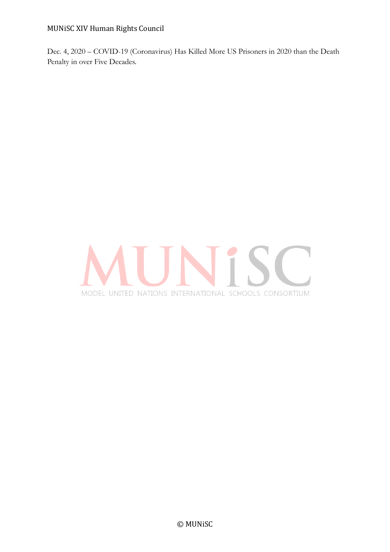Dec. 4, 2020 – COVID-19 (Coronavirus) Has Killed More US Prisoners in 2020 than the Death Penalty in over Five Decades.